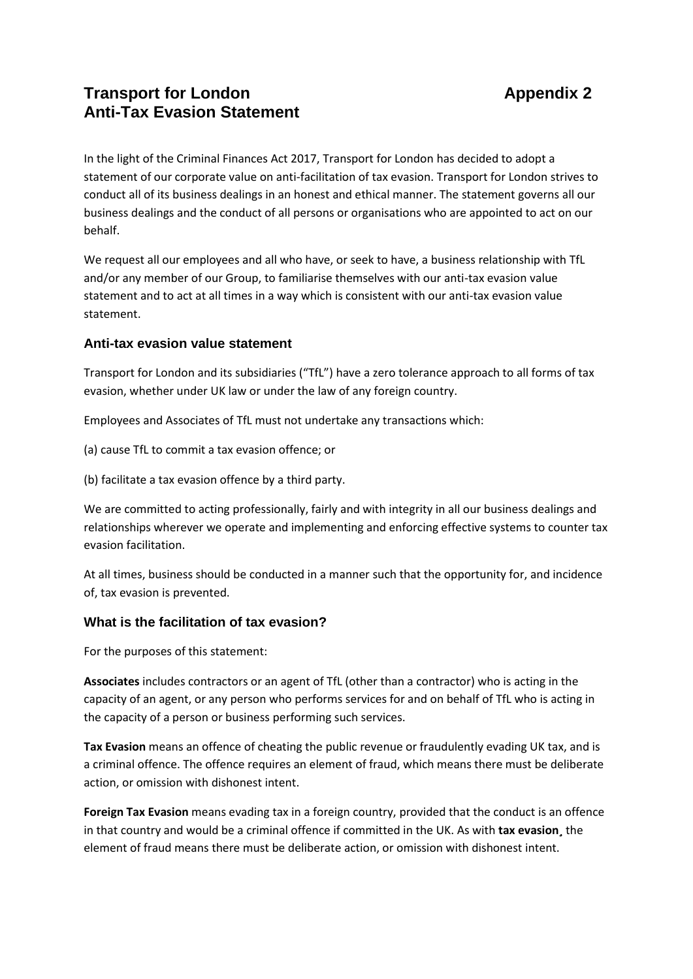## **Transport for London Appendix 2 Anti-Tax Evasion Statement**

In the light of the Criminal Finances Act 2017, Transport for London has decided to adopt a statement of our corporate value on anti-facilitation of tax evasion. Transport for London strives to conduct all of its business dealings in an honest and ethical manner. The statement governs all our business dealings and the conduct of all persons or organisations who are appointed to act on our behalf.

We request all our employees and all who have, or seek to have, a business relationship with TfL and/or any member of our Group, to familiarise themselves with our anti-tax evasion value statement and to act at all times in a way which is consistent with our anti-tax evasion value statement.

## **Anti-tax evasion value statement**

Transport for London and its subsidiaries ("TfL") have a zero tolerance approach to all forms of tax evasion, whether under UK law or under the law of any foreign country.

Employees and Associates of TfL must not undertake any transactions which:

- (a) cause TfL to commit a tax evasion offence; or
- (b) facilitate a tax evasion offence by a third party.

We are committed to acting professionally, fairly and with integrity in all our business dealings and relationships wherever we operate and implementing and enforcing effective systems to counter tax evasion facilitation.

At all times, business should be conducted in a manner such that the opportunity for, and incidence of, tax evasion is prevented.

## **What is the facilitation of tax evasion?**

For the purposes of this statement:

**Associates** includes contractors or an agent of TfL (other than a contractor) who is acting in the capacity of an agent, or any person who performs services for and on behalf of TfL who is acting in the capacity of a person or business performing such services.

**Tax Evasion** means an offence of cheating the public revenue or fraudulently evading UK tax, and is a criminal offence. The offence requires an element of fraud, which means there must be deliberate action, or omission with dishonest intent.

**Foreign Tax Evasion** means evading tax in a foreign country, provided that the conduct is an offence in that country and would be a criminal offence if committed in the UK. As with **tax evasion¸** the element of fraud means there must be deliberate action, or omission with dishonest intent.